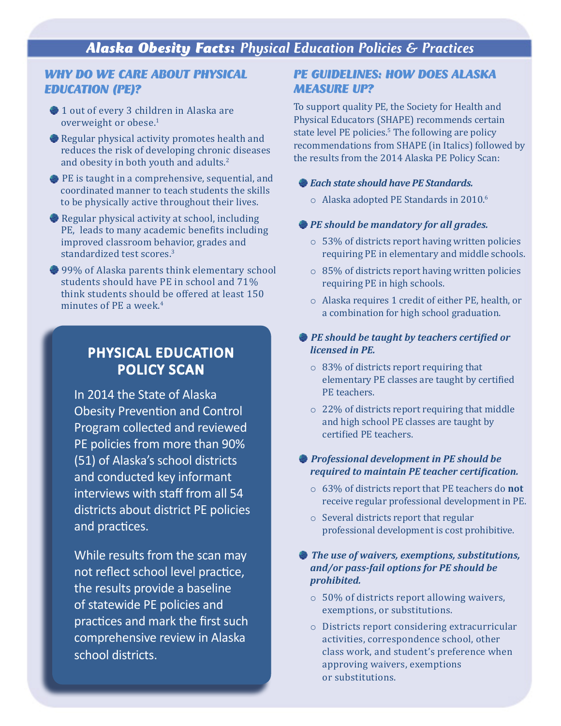### *WHY DO WE CARE ABOUT PHYSICAL EDUCATION (PE)?*

- 1 out of every 3 children in Alaska are overweight or obese.<sup>1</sup>
- Regular physical activity promotes health and reduces the risk of developing chronic diseases and obesity in both youth and adults.2
- PE is taught in a comprehensive, sequential, and coordinated manner to teach students the skills to be physically active throughout their lives.
- Regular physical activity at school, including PE, leads to many academic benefits including improved classroom behavior, grades and standardized test scores.<sup>3</sup>
- <sup>99%</sup> of Alaska parents think elementary school students should have PE in school and 71% think students should be offered at least 150 minutes of PE a week.4

## PHYSICAL EDUCATION POLICY SCAN

In 2014 the State of Alaska Obesity Prevention and Control Program collected and reviewed PE policies from more than 90% (51) of Alaska's school districts and conducted key informant interviews with staff from all 54 districts about district PE policies and practices.

While results from the scan may not reflect school level practice, the results provide a baseline of statewide PE policies and practices and mark the first such comprehensive review in Alaska school districts.

### *PE GUIDELINES: HOW DOES ALASKA MEASURE UP?*

To support quality PE, the Society for Health and Physical Educators (SHAPE) recommends certain state level PE policies.<sup>5</sup> The following are policy recommendations from SHAPE (in Italics) followed by the results from the 2014 Alaska PE Policy Scan:

### *Each state should have PE Standards.*

o Alaska adopted PE Standards in 2010.6

### *PE should be mandatory for all grades.*

- o 53% of districts report having written policies requiring PE in elementary and middle schools.
- o 85% of districts report having written policies requiring PE in high schools.
- o Alaska requires 1 credit of either PE, health, or a combination for high school graduation.

### *PE should be taught by teachers certified or licensed in PE.*

- o 83% of districts report requiring that elementary PE classes are taught by certified PE teachers.
- o 22% of districts report requiring that middle and high school PE classes are taught by certified PE teachers.

### *Professional development in PE should be required to maintain PE teacher certification.*

- o 63% of districts report that PE teachers do **not** receive regular professional development in PE.
- o Several districts report that regular professional development is cost prohibitive.

### *The use of waivers, exemptions, substitutions, and/or pass-fail options for PE should be prohibited.*

- o 50% of districts report allowing waivers, exemptions, or substitutions.
- o Districts report considering extracurricular activities, correspondence school, other class work, and student's preference when approving waivers, exemptions or substitutions.